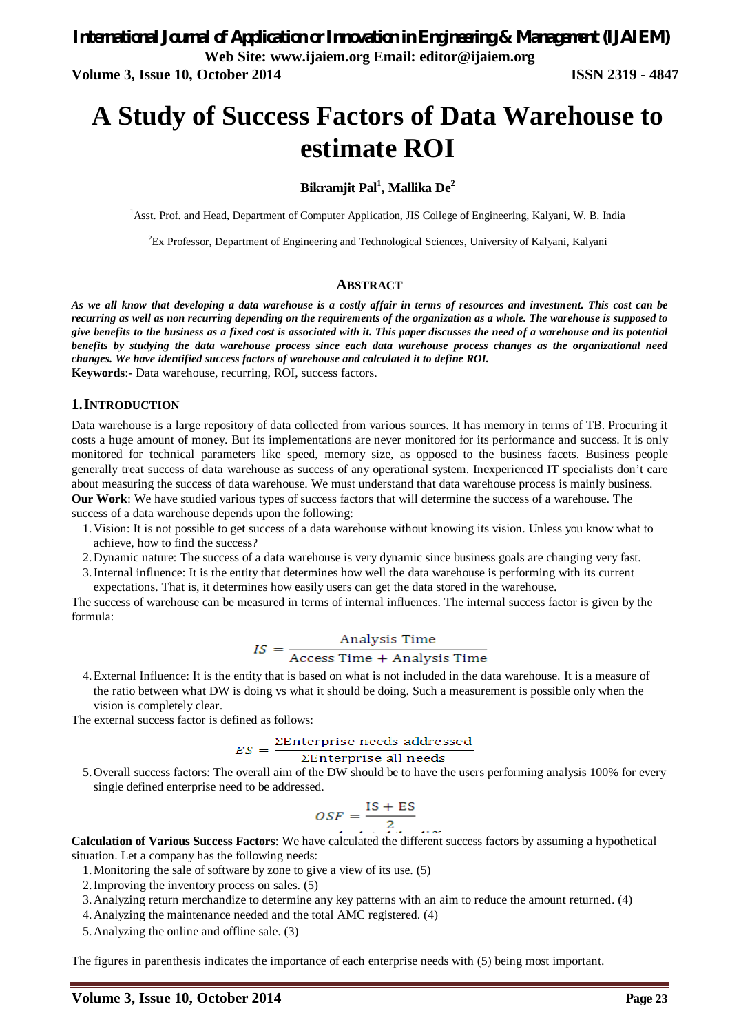**Web Site: www.ijaiem.org Email: editor@ijaiem.org**

**Volume 3, Issue 10, October 2014 ISSN 2319 - 4847**

# **A Study of Success Factors of Data Warehouse to estimate ROI**

## **Bikramjit Pal<sup>1</sup> , Mallika De<sup>2</sup>**

<sup>1</sup>Asst. Prof. and Head, Department of Computer Application, JIS College of Engineering, Kalyani, W. B. India

<sup>2</sup>Ex Professor, Department of Engineering and Technological Sciences, University of Kalyani, Kalyani

#### **ABSTRACT**

*As we all know that developing a data warehouse is a costly affair in terms of resources and investment. This cost can be recurring as well as non recurring depending on the requirements of the organization as a whole. The warehouse is supposed to give benefits to the business as a fixed cost is associated with it. This paper discusses the need of a warehouse and its potential benefits by studying the data warehouse process since each data warehouse process changes as the organizational need changes. We have identified success factors of warehouse and calculated it to define ROI.* **Keywords**:- Data warehouse, recurring, ROI, success factors.

#### **1.INTRODUCTION**

Data warehouse is a large repository of data collected from various sources. It has memory in terms of TB. Procuring it costs a huge amount of money. But its implementations are never monitored for its performance and success. It is only monitored for technical parameters like speed, memory size, as opposed to the business facets. Business people generally treat success of data warehouse as success of any operational system. Inexperienced IT specialists don't care about measuring the success of data warehouse. We must understand that data warehouse process is mainly business. **Our Work**: We have studied various types of success factors that will determine the success of a warehouse. The success of a data warehouse depends upon the following:

1.Vision: It is not possible to get success of a data warehouse without knowing its vision. Unless you know what to achieve, how to find the success?

- 2.Dynamic nature: The success of a data warehouse is very dynamic since business goals are changing very fast.
- 3.Internal influence: It is the entity that determines how well the data warehouse is performing with its current expectations. That is, it determines how easily users can get the data stored in the warehouse.

The success of warehouse can be measured in terms of internal influences. The internal success factor is given by the formula:

$$
IS = \frac{\text{Analysis Time}}{\text{Access Time} + \text{Analysis Time}}
$$

4.External Influence: It is the entity that is based on what is not included in the data warehouse. It is a measure of the ratio between what DW is doing vs what it should be doing. Such a measurement is possible only when the vision is completely clear.

The external success factor is defined as follows:

$$
ES = \frac{\Sigma \text{Enterprise needs addressed}}{}
$$

$$
\Sigma{\rm Enterprise~all~needs}
$$

5.Overall success factors: The overall aim of the DW should be to have the users performing analysis 100% for every single defined enterprise need to be addressed.

$$
OSF = \frac{IS + ES}{2}
$$

**Calculation of Various Success Factors**: We have calculated the different success factors by assuming a hypothetical situation. Let a company has the following needs:

1.Monitoring the sale of software by zone to give a view of its use. (5)

2.Improving the inventory process on sales. (5)

- 3.Analyzing return merchandize to determine any key patterns with an aim to reduce the amount returned. (4)
- 4.Analyzing the maintenance needed and the total AMC registered. (4)

5.Analyzing the online and offline sale. (3)

The figures in parenthesis indicates the importance of each enterprise needs with (5) being most important.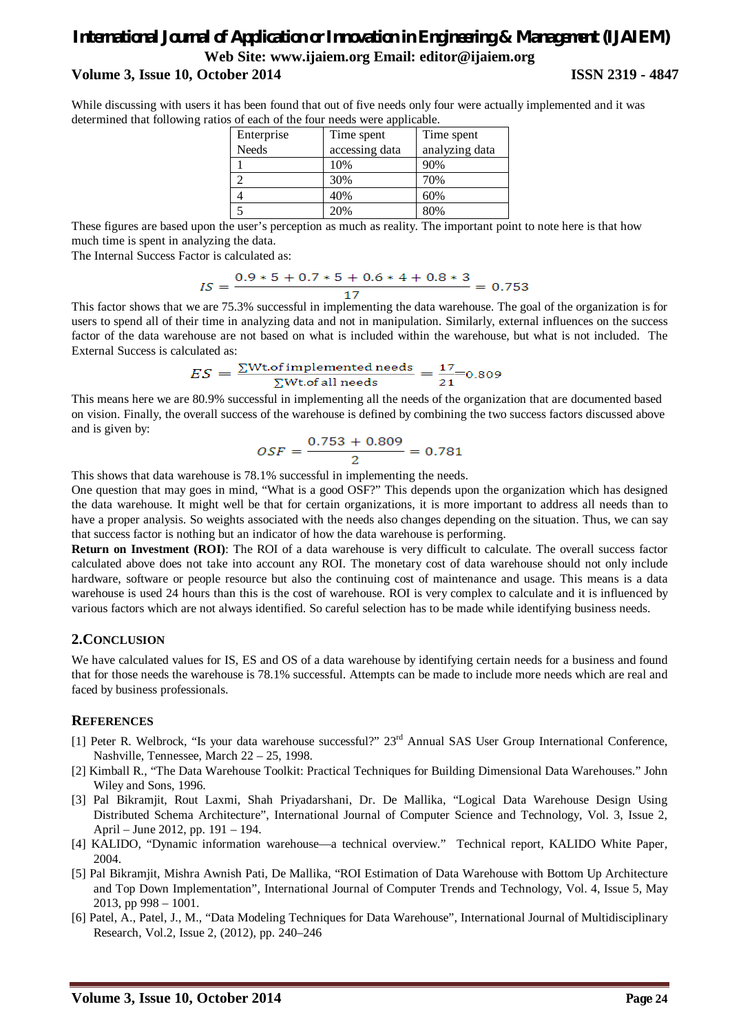# *International Journal of Application or Innovation in Engineering & Management (IJAIEM)* **Web Site: www.ijaiem.org Email: editor@ijaiem.org Volume 3, Issue 10, October 2014 ISSN 2319 - 4847**

While discussing with users it has been found that out of five needs only four were actually implemented and it was determined that following ratios of each of the four needs were applicable.

| Enterprise   | Time spent     | Time spent     |
|--------------|----------------|----------------|
| <b>Needs</b> | accessing data | analyzing data |
|              | 10%            | 90%            |
|              | 30%            | 70%            |
|              | 40%            | 60%            |
|              | 20%            | 80%            |

These figures are based upon the user's perception as much as reality. The important point to note here is that how much time is spent in analyzing the data.

The Internal Success Factor is calculated as:

$$
IS = \frac{0.9 * 5 + 0.7 * 5 + 0.6 * 4 + 0.8 * 3}{17} = 0.753
$$

This factor shows that we are 75.3% successful in implementing the data warehouse. The goal of the organization is for users to spend all of their time in analyzing data and not in manipulation. Similarly, external influences on the success factor of the data warehouse are not based on what is included within the warehouse, but what is not included. The External Success is calculated as:

$$
ES = \frac{\Sigma \text{Wt.of implemented needs}}{\Sigma \text{Wt.of all needs}} = \frac{17}{21} = 0.809
$$

This means here we are 80.9% successful in implementing all the needs of the organization that are documented based on vision. Finally, the overall success of the warehouse is defined by combining the two success factors discussed above and is given by:

$$
OSF = \frac{0.753 + 0.809}{2} = 0.781
$$

This shows that data warehouse is 78.1% successful in implementing the needs.

One question that may goes in mind, "What is a good OSF?" This depends upon the organization which has designed the data warehouse. It might well be that for certain organizations, it is more important to address all needs than to have a proper analysis. So weights associated with the needs also changes depending on the situation. Thus, we can say that success factor is nothing but an indicator of how the data warehouse is performing.

**Return on Investment (ROI)**: The ROI of a data warehouse is very difficult to calculate. The overall success factor calculated above does not take into account any ROI. The monetary cost of data warehouse should not only include hardware, software or people resource but also the continuing cost of maintenance and usage. This means is a data warehouse is used 24 hours than this is the cost of warehouse. ROI is very complex to calculate and it is influenced by various factors which are not always identified. So careful selection has to be made while identifying business needs.

### **2.CONCLUSION**

We have calculated values for IS, ES and OS of a data warehouse by identifying certain needs for a business and found that for those needs the warehouse is 78.1% successful. Attempts can be made to include more needs which are real and faced by business professionals.

## **REFERENCES**

- [1] Peter R. Welbrock, "Is your data warehouse successful?" 23<sup>rd</sup> Annual SAS User Group International Conference, Nashville, Tennessee, March 22 – 25, 1998.
- [2] Kimball R., "The Data Warehouse Toolkit: Practical Techniques for Building Dimensional Data Warehouses." John Wiley and Sons, 1996.
- [3] Pal Bikramjit, Rout Laxmi, Shah Priyadarshani, Dr. De Mallika, "Logical Data Warehouse Design Using Distributed Schema Architecture", International Journal of Computer Science and Technology, Vol. 3, Issue 2, April – June 2012, pp. 191 – 194.
- [4] KALIDO, "Dynamic information warehouse—a technical overview." Technical report, KALIDO White Paper, 2004.
- [5] Pal Bikramjit, Mishra Awnish Pati, De Mallika, "ROI Estimation of Data Warehouse with Bottom Up Architecture and Top Down Implementation", International Journal of Computer Trends and Technology, Vol. 4, Issue 5, May 2013, pp  $998 - 1001$ .
- [6] Patel, A., Patel, J., M., "Data Modeling Techniques for Data Warehouse", International Journal of Multidisciplinary Research, Vol.2, Issue 2, (2012), pp. 240–246